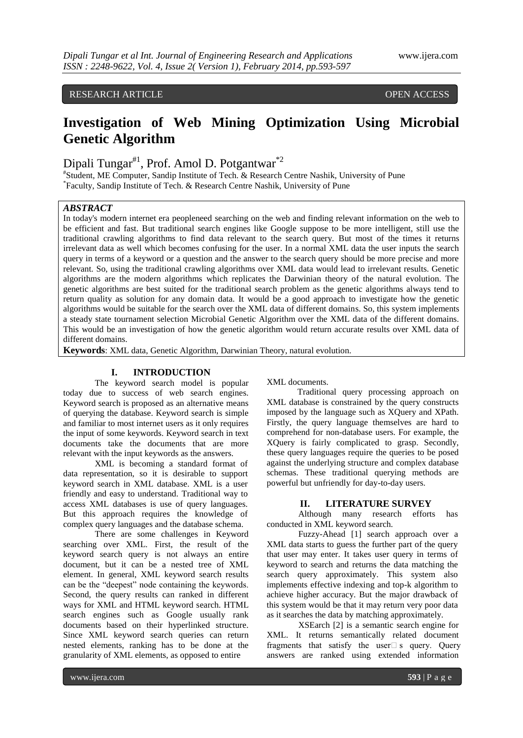# RESEARCH ARTICLE **CONSERVERS** OPEN ACCESS

# **Investigation of Web Mining Optimization Using Microbial Genetic Algorithm**

Dipali Tungar<sup>#1</sup>, Prof. Amol D. Potgantwar<sup>\*2</sup>

# Student, ME Computer, Sandip Institute of Tech. & Research Centre Nashik, University of Pune \* Faculty, Sandip Institute of Tech. & Research Centre Nashik, University of Pune

# *ABSTRACT*

In today's modern internet era peopleneed searching on the web and finding relevant information on the web to be efficient and fast. But traditional search engines like Google suppose to be more intelligent, still use the traditional crawling algorithms to find data relevant to the search query. But most of the times it returns irrelevant data as well which becomes confusing for the user. In a normal XML data the user inputs the search query in terms of a keyword or a question and the answer to the search query should be more precise and more relevant. So, using the traditional crawling algorithms over XML data would lead to irrelevant results. Genetic algorithms are the modern algorithms which replicates the Darwinian theory of the natural evolution. The genetic algorithms are best suited for the traditional search problem as the genetic algorithms always tend to return quality as solution for any domain data. It would be a good approach to investigate how the genetic algorithms would be suitable for the search over the XML data of different domains. So, this system implements a steady state tournament selection Microbial Genetic Algorithm over the XML data of the different domains. This would be an investigation of how the genetic algorithm would return accurate results over XML data of different domains.

**Keywords**: XML data, Genetic Algorithm, Darwinian Theory, natural evolution.

## **I. INTRODUCTION**

The keyword search model is popular today due to success of web search engines. Keyword search is proposed as an alternative means of querying the database. Keyword search is simple and familiar to most internet users as it only requires the input of some keywords. Keyword search in text documents take the documents that are more relevant with the input keywords as the answers.

XML is becoming a standard format of data representation, so it is desirable to support keyword search in XML database. XML is a user friendly and easy to understand. Traditional way to access XML databases is use of query languages. But this approach requires the knowledge of complex query languages and the database schema.

There are some challenges in Keyword searching over XML. First, the result of the keyword search query is not always an entire document, but it can be a nested tree of XML element. In general, XML keyword search results can be the "deepest" node containing the keywords. Second, the query results can ranked in different ways for XML and HTML keyword search. HTML search engines such as Google usually rank documents based on their hyperlinked structure. Since XML keyword search queries can return nested elements, ranking has to be done at the granularity of XML elements, as opposed to entire

XML documents.

Traditional query processing approach on XML database is constrained by the query constructs imposed by the language such as XQuery and XPath. Firstly, the query language themselves are hard to comprehend for non-database users. For example, the XQuery is fairly complicated to grasp. Secondly, these query languages require the queries to be posed against the underlying structure and complex database schemas. These traditional querying methods are powerful but unfriendly for day-to-day users.

#### **II. LITERATURE SURVEY**

Although many research efforts has conducted in XML keyword search.

Fuzzy-Ahead [1] search approach over a XML data starts to guess the further part of the query that user may enter. It takes user query in terms of keyword to search and returns the data matching the search query approximately. This system also implements effective indexing and top-k algorithm to achieve higher accuracy. But the major drawback of this system would be that it may return very poor data as it searches the data by matching approximately.

XSEarch [2] is a semantic search engine for XML. It returns semantically related document fragments that satisfy the user $\Box$  s query. Query answers are ranked using extended information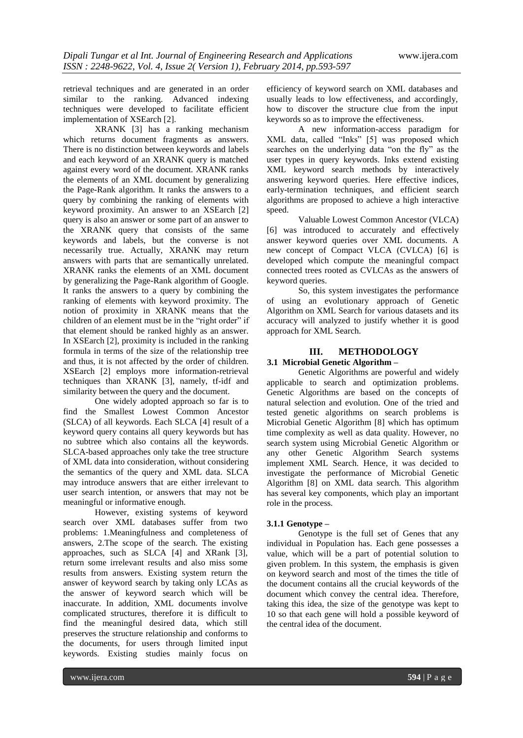retrieval techniques and are generated in an order similar to the ranking. Advanced indexing techniques were developed to facilitate efficient implementation of XSEarch [2].

XRANK [3] has a ranking mechanism which returns document fragments as answers. There is no distinction between keywords and labels and each keyword of an XRANK query is matched against every word of the document. XRANK ranks the elements of an XML document by generalizing the Page-Rank algorithm. It ranks the answers to a query by combining the ranking of elements with keyword proximity. An answer to an XSEarch [2] query is also an answer or some part of an answer to the XRANK query that consists of the same keywords and labels, but the converse is not necessarily true. Actually, XRANK may return answers with parts that are semantically unrelated. XRANK ranks the elements of an XML document by generalizing the Page-Rank algorithm of Google. It ranks the answers to a query by combining the ranking of elements with keyword proximity. The notion of proximity in XRANK means that the children of an element must be in the "right order" if that element should be ranked highly as an answer. In XSEarch [2], proximity is included in the ranking formula in terms of the size of the relationship tree and thus, it is not affected by the order of children. XSEarch [2] employs more information-retrieval techniques than XRANK [3], namely, tf-idf and similarity between the query and the document.

One widely adopted approach so far is to find the Smallest Lowest Common Ancestor (SLCA) of all keywords. Each SLCA [4] result of a keyword query contains all query keywords but has no subtree which also contains all the keywords. SLCA-based approaches only take the tree structure of XML data into consideration, without considering the semantics of the query and XML data. SLCA may introduce answers that are either irrelevant to user search intention, or answers that may not be meaningful or informative enough.

However, existing systems of keyword search over XML databases suffer from two problems: 1.Meaningfulness and completeness of answers, 2.The scope of the search. The existing approaches, such as SLCA [4] and XRank [3], return some irrelevant results and also miss some results from answers. Existing system return the answer of keyword search by taking only LCAs as the answer of keyword search which will be inaccurate. In addition, XML documents involve complicated structures, therefore it is difficult to find the meaningful desired data, which still preserves the structure relationship and conforms to the documents, for users through limited input keywords. Existing studies mainly focus on

efficiency of keyword search on XML databases and usually leads to low effectiveness, and accordingly, how to discover the structure clue from the input keywords so as to improve the effectiveness.

A new information-access paradigm for XML data, called "Inks" [5] was proposed which searches on the underlying data "on the fly" as the user types in query keywords. Inks extend existing XML keyword search methods by interactively answering keyword queries. Here effective indices, early-termination techniques, and efficient search algorithms are proposed to achieve a high interactive speed.

Valuable Lowest Common Ancestor (VLCA) [6] was introduced to accurately and effectively answer keyword queries over XML documents. A new concept of Compact VLCA (CVLCA) [6] is developed which compute the meaningful compact connected trees rooted as CVLCAs as the answers of keyword queries.

So, this system investigates the performance of using an evolutionary approach of Genetic Algorithm on XML Search for various datasets and its accuracy will analyzed to justify whether it is good approach for XML Search.

### **III. METHODOLOGY**

#### **3.1 Microbial Genetic Algorithm –**

Genetic Algorithms are powerful and widely applicable to search and optimization problems. Genetic Algorithms are based on the concepts of natural selection and evolution. One of the tried and tested genetic algorithms on search problems is Microbial Genetic Algorithm [8] which has optimum time complexity as well as data quality. However, no search system using Microbial Genetic Algorithm or any other Genetic Algorithm Search systems implement XML Search. Hence, it was decided to investigate the performance of Microbial Genetic Algorithm [8] on XML data search. This algorithm has several key components, which play an important role in the process.

#### **3.1.1 Genotype –**

Genotype is the full set of Genes that any individual in Population has. Each gene possesses a value, which will be a part of potential solution to given problem. In this system, the emphasis is given on keyword search and most of the times the title of the document contains all the crucial keywords of the document which convey the central idea. Therefore, taking this idea, the size of the genotype was kept to 10 so that each gene will hold a possible keyword of the central idea of the document.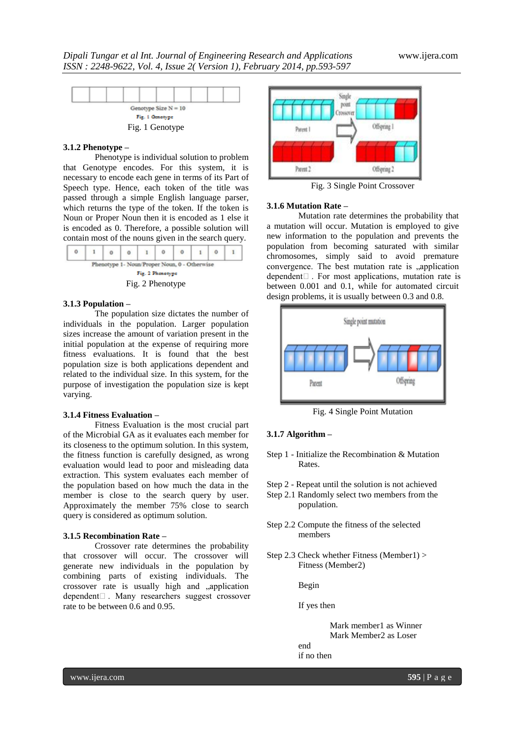

#### **3.1.2 Phenotype –**

Phenotype is individual solution to problem that Genotype encodes. For this system, it is necessary to encode each gene in terms of its Part of Speech type. Hence, each token of the title was passed through a simple English language parser, which returns the type of the token. If the token is Noun or Proper Noun then it is encoded as 1 else it is encoded as 0. Therefore, a possible solution will contain most of the nouns given in the search query.

|                                              | 0                |  |  | 0 |  |  |  |  |  |  |  |
|----------------------------------------------|------------------|--|--|---|--|--|--|--|--|--|--|
| Phenotype 1- Noun/Proper Noun, 0 - Otherwise |                  |  |  |   |  |  |  |  |  |  |  |
|                                              | Fig. 2 Phenotype |  |  |   |  |  |  |  |  |  |  |
|                                              | Fig. 2 Phenotype |  |  |   |  |  |  |  |  |  |  |

#### **3.1.3 Population –**

The population size dictates the number of individuals in the population. Larger population sizes increase the amount of variation present in the initial population at the expense of requiring more fitness evaluations. It is found that the best population size is both applications dependent and related to the individual size. In this system, for the purpose of investigation the population size is kept varying.

#### **3.1.4 Fitness Evaluation –**

Fitness Evaluation is the most crucial part of the Microbial GA as it evaluates each member for its closeness to the optimum solution. In this system, the fitness function is carefully designed, as wrong evaluation would lead to poor and misleading data extraction. This system evaluates each member of the population based on how much the data in the member is close to the search query by user. Approximately the member 75% close to search query is considered as optimum solution.

#### **3.1.5 Recombination Rate –**

Crossover rate determines the probability that crossover will occur. The crossover will generate new individuals in the population by combining parts of existing individuals. The crossover rate is usually high and "application dependent $\Box$ . Many researchers suggest crossover rate to be between 0.6 and 0.95.



Fig. 3 Single Point Crossover

#### **3.1.6 Mutation Rate –**

Mutation rate determines the probability that a mutation will occur. Mutation is employed to give new information to the population and prevents the population from becoming saturated with similar chromosomes, simply said to avoid premature convergence. The best mutation rate is "application  $dependent$  $\Box$ . For most applications, mutation rate is between 0.001 and 0.1, while for automated circuit design problems, it is usually between 0.3 and 0.8.



Fig. 4 Single Point Mutation

#### **3.1.7 Algorithm –**

- Step 1 Initialize the Recombination & Mutation Rates.
- Step 2 Repeat until the solution is not achieved
- Step 2.1 Randomly select two members from the population.
- Step 2.2 Compute the fitness of the selected members
- Step 2.3 Check whether Fitness (Member1) > Fitness (Member2)

Begin

end

If yes then

Mark member1 as Winner Mark Member2 as Loser if no then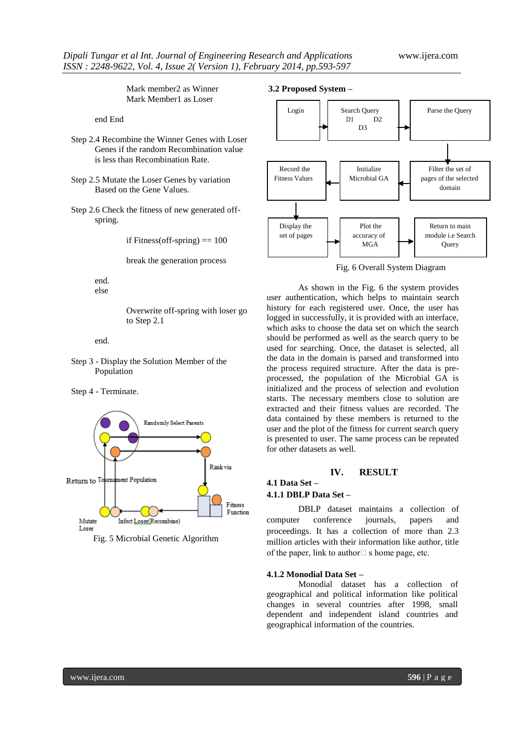Mark member2 as Winner Mark Member1 as Loser

end End

- Step 2.4 Recombine the Winner Genes with Loser Genes if the random Recombination value is less than Recombination Rate.
- Step 2.5 Mutate the Loser Genes by variation Based on the Gene Values.
- Step 2.6 Check the fitness of new generated offspring.

if Fitness(off-spring)  $== 100$ 

break the generation process

end. else

> Overwrite off-spring with loser go to Step 2.1

end.

Step 3 - Display the Solution Member of the Population

Step 4 - Terminate.



Fig. 5 Microbial Genetic Algorithm

#### **3.2 Proposed System –**



Fig. 6 Overall System Diagram

As shown in the Fig. 6 the system provides user authentication, which helps to maintain search history for each registered user. Once, the user has logged in successfully, it is provided with an interface, which asks to choose the data set on which the search should be performed as well as the search query to be used for searching. Once, the dataset is selected, all the data in the domain is parsed and transformed into the process required structure. After the data is preprocessed, the population of the Microbial GA is initialized and the process of selection and evolution starts. The necessary members close to solution are extracted and their fitness values are recorded. The data contained by these members is returned to the user and the plot of the fitness for current search query is presented to user. The same process can be repeated for other datasets as well.

#### **IV. RESULT**

# **4.1 Data Set –**

# **4.1.1 DBLP Data Set –**

DBLP dataset maintains a collection of computer conference journals, papers and proceedings. It has a collection of more than 2.3 million articles with their information like author, title of the paper, link to author  $\Box$  s home page, etc.

#### **4.1.2 Monodial Data Set –**

Monodial dataset has a collection of geographical and political information like political changes in several countries after 1998, small dependent and independent island countries and geographical information of the countries.